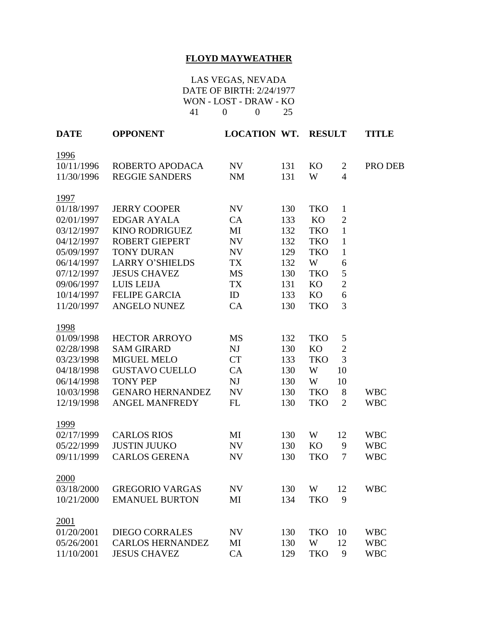## **FLOYD MAYWEATHER**

LAS VEGAS, NEVADA DATE OF BIRTH: 2/24/1977 WON - LOST - DRAW - KO 41 0 0 25

| <b>DATE</b> | <b>OPPONENT</b>         | <b>LOCATION WT.</b> |     | <b>RESULT</b> |                | <b>TITLE</b> |
|-------------|-------------------------|---------------------|-----|---------------|----------------|--------------|
| 1996        |                         |                     |     |               |                |              |
| 10/11/1996  | ROBERTO APODACA         | NV                  | 131 | <b>KO</b>     | $\overline{2}$ | PRO DEB      |
| 11/30/1996  | <b>REGGIE SANDERS</b>   | <b>NM</b>           | 131 | W             | $\overline{4}$ |              |
| 1997        |                         |                     |     |               |                |              |
| 01/18/1997  | <b>JERRY COOPER</b>     | NV                  | 130 | <b>TKO</b>    | $\mathbf{1}$   |              |
| 02/01/1997  | <b>EDGAR AYALA</b>      | CA                  | 133 | KO            | $\overline{2}$ |              |
| 03/12/1997  | <b>KINO RODRIGUEZ</b>   | MI                  | 132 | <b>TKO</b>    | $\mathbf{1}$   |              |
| 04/12/1997  | <b>ROBERT GIEPERT</b>   | NV                  | 132 | <b>TKO</b>    | $\mathbf{1}$   |              |
| 05/09/1997  | <b>TONY DURAN</b>       | NV                  | 129 | <b>TKO</b>    | $\mathbf{1}$   |              |
| 06/14/1997  | <b>LARRY O'SHIELDS</b>  | <b>TX</b>           | 132 | W             | 6              |              |
| 07/12/1997  | <b>JESUS CHAVEZ</b>     | <b>MS</b>           | 130 | <b>TKO</b>    | 5              |              |
| 09/06/1997  | <b>LUIS LEIJA</b>       | TX                  | 131 | <b>KO</b>     | $\overline{2}$ |              |
| 10/14/1997  | <b>FELIPE GARCIA</b>    | ID                  | 133 | KO            | 6              |              |
| 11/20/1997  | <b>ANGELO NUNEZ</b>     | CA                  | 130 | <b>TKO</b>    | 3              |              |
| 1998        |                         |                     |     |               |                |              |
| 01/09/1998  | <b>HECTOR ARROYO</b>    | MS                  | 132 | <b>TKO</b>    | 5              |              |
| 02/28/1998  | <b>SAM GIRARD</b>       | NJ                  | 130 | KO            | $\mathfrak{2}$ |              |
| 03/23/1998  | <b>MIGUEL MELO</b>      | <b>CT</b>           | 133 | <b>TKO</b>    | 3              |              |
| 04/18/1998  | <b>GUSTAVO CUELLO</b>   | CA                  | 130 | W             | 10             |              |
| 06/14/1998  | <b>TONY PEP</b>         | NJ                  | 130 | W             | 10             |              |
| 10/03/1998  | <b>GENARO HERNANDEZ</b> | NV                  | 130 | <b>TKO</b>    | 8              | <b>WBC</b>   |
| 12/19/1998  | <b>ANGEL MANFREDY</b>   | FL                  | 130 | <b>TKO</b>    | $\overline{2}$ | <b>WBC</b>   |
| 1999        |                         |                     |     |               |                |              |
| 02/17/1999  | <b>CARLOS RIOS</b>      | MI                  | 130 | W             | 12             | <b>WBC</b>   |
| 05/22/1999  | <b>JUSTIN JUUKO</b>     | NV                  | 130 | KO            | 9              | <b>WBC</b>   |
| 09/11/1999  | <b>CARLOS GERENA</b>    | NV                  | 130 | <b>TKO</b>    | 7              | <b>WBC</b>   |
| 2000        |                         |                     |     |               |                |              |
| 03/18/2000  | <b>GREGORIO VARGAS</b>  | NV                  | 130 | W             | 12             | <b>WBC</b>   |
| 10/21/2000  | <b>EMANUEL BURTON</b>   | MI                  | 134 | <b>TKO</b>    | 9              |              |
| 2001        |                         |                     |     |               |                |              |
| 01/20/2001  | <b>DIEGO CORRALES</b>   | NV                  | 130 | <b>TKO</b>    | 10             | <b>WBC</b>   |
| 05/26/2001  | <b>CARLOS HERNANDEZ</b> | МI                  | 130 | W             | 12             | <b>WBC</b>   |
| 11/10/2001  | <b>JESUS CHAVEZ</b>     | CA                  | 129 | <b>TKO</b>    | 9              | <b>WBC</b>   |